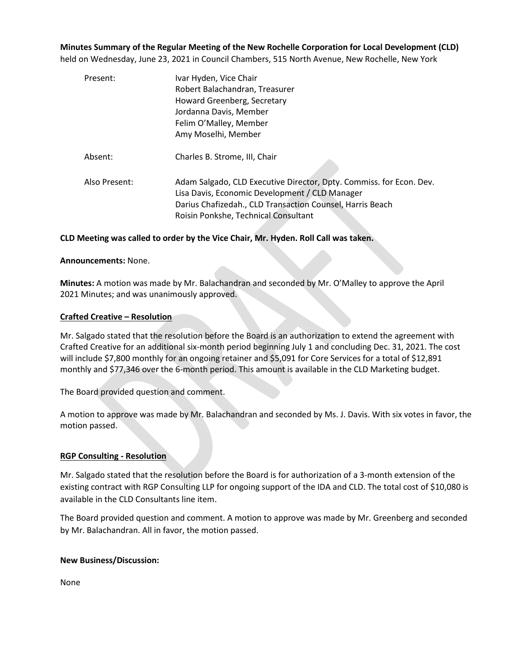**Minutes Summary of the Regular Meeting of the New Rochelle Corporation for Local Development (CLD)**

held on Wednesday, June 23, 2021 in Council Chambers, 515 North Avenue, New Rochelle, New York

| Present:      | Ivar Hyden, Vice Chair                                              |
|---------------|---------------------------------------------------------------------|
|               | Robert Balachandran, Treasurer                                      |
|               | Howard Greenberg, Secretary                                         |
|               | Jordanna Davis, Member                                              |
|               | Felim O'Malley, Member                                              |
|               | Amy Moselhi, Member                                                 |
| Absent:       | Charles B. Strome, III, Chair                                       |
| Also Present: | Adam Salgado, CLD Executive Director, Dpty. Commiss. for Econ. Dev. |
|               | Lisa Davis, Economic Development / CLD Manager                      |
|               | Darius Chafizedah., CLD Transaction Counsel, Harris Beach           |
|               | Roisin Ponkshe, Technical Consultant                                |
|               |                                                                     |

# **CLD Meeting was called to order by the Vice Chair, Mr. Hyden. Roll Call was taken.**

## **Announcements:** None.

**Minutes:** A motion was made by Mr. Balachandran and seconded by Mr. O'Malley to approve the April 2021 Minutes; and was unanimously approved.

## **Crafted Creative – Resolution**

Mr. Salgado stated that the resolution before the Board is an authorization to extend the agreement with Crafted Creative for an additional six-month period beginning July 1 and concluding Dec. 31, 2021. The cost will include \$7,800 monthly for an ongoing retainer and \$5,091 for Core Services for a total of \$12,891 monthly and \$77,346 over the 6-month period. This amount is available in the CLD Marketing budget.

The Board provided question and comment.

A motion to approve was made by Mr. Balachandran and seconded by Ms. J. Davis. With six votes in favor, the motion passed.

# **RGP Consulting - Resolution**

Mr. Salgado stated that the resolution before the Board is for authorization of a 3-month extension of the existing contract with RGP Consulting LLP for ongoing support of the IDA and CLD. The total cost of \$10,080 is available in the CLD Consultants line item.

The Board provided question and comment. A motion to approve was made by Mr. Greenberg and seconded by Mr. Balachandran. All in favor, the motion passed.

# **New Business/Discussion:**

None